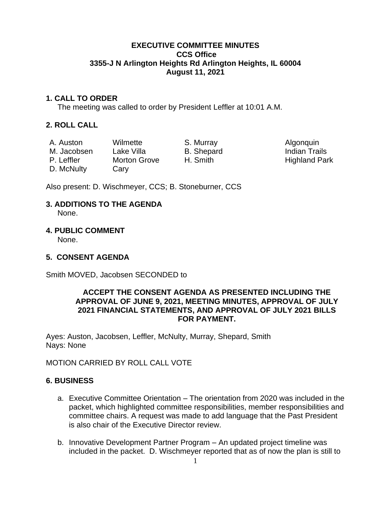#### **EXECUTIVE COMMITTEE MINUTES CCS Office 3355-J N Arlington Heights Rd Arlington Heights, IL 60004 August 11, 2021**

#### **1. CALL TO ORDER**

The meeting was called to order by President Leffler at 10:01 A.M.

#### **2. ROLL CALL**

D. McNulty Cary

A. Auston Wilmette S. Murray S. Murray Algonquin M. Jacobsen Lake Villa B. Shepard B. Indian Trails

P. Leffler Morton Grove H. Smith Highland Park

Also present: D. Wischmeyer, CCS; B. Stoneburner, CCS

# **3. ADDITIONS TO THE AGENDA**

None.

#### **4. PUBLIC COMMENT**

None.

#### **5. CONSENT AGENDA**

Smith MOVED, Jacobsen SECONDED to

#### **ACCEPT THE CONSENT AGENDA AS PRESENTED INCLUDING THE APPROVAL OF JUNE 9, 2021, MEETING MINUTES, APPROVAL OF JULY 2021 FINANCIAL STATEMENTS, AND APPROVAL OF JULY 2021 BILLS FOR PAYMENT.**

Ayes: Auston, Jacobsen, Leffler, McNulty, Murray, Shepard, Smith Nays: None

# MOTION CARRIED BY ROLL CALL VOTE

#### **6. BUSINESS**

- a. Executive Committee Orientation The orientation from 2020 was included in the packet, which highlighted committee responsibilities, member responsibilities and committee chairs. A request was made to add language that the Past President is also chair of the Executive Director review.
- b. Innovative Development Partner Program An updated project timeline was included in the packet. D. Wischmeyer reported that as of now the plan is still to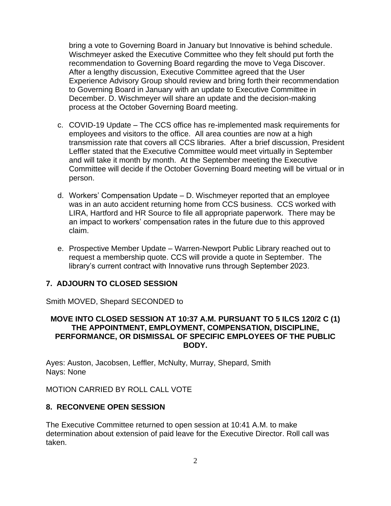bring a vote to Governing Board in January but Innovative is behind schedule. Wischmeyer asked the Executive Committee who they felt should put forth the recommendation to Governing Board regarding the move to Vega Discover. After a lengthy discussion, Executive Committee agreed that the User Experience Advisory Group should review and bring forth their recommendation to Governing Board in January with an update to Executive Committee in December. D. Wischmeyer will share an update and the decision-making process at the October Governing Board meeting.

- c. COVID-19 Update The CCS office has re-implemented mask requirements for employees and visitors to the office. All area counties are now at a high transmission rate that covers all CCS libraries. After a brief discussion, President Leffler stated that the Executive Committee would meet virtually in September and will take it month by month. At the September meeting the Executive Committee will decide if the October Governing Board meeting will be virtual or in person.
- d. Workers' Compensation Update D. Wischmeyer reported that an employee was in an auto accident returning home from CCS business. CCS worked with LIRA, Hartford and HR Source to file all appropriate paperwork. There may be an impact to workers' compensation rates in the future due to this approved claim.
- e. Prospective Member Update Warren-Newport Public Library reached out to request a membership quote. CCS will provide a quote in September. The library's current contract with Innovative runs through September 2023.

#### **7. ADJOURN TO CLOSED SESSION**

Smith MOVED, Shepard SECONDED to

#### **MOVE INTO CLOSED SESSION AT 10:37 A.M. PURSUANT TO 5 ILCS 120/2 C (1) THE APPOINTMENT, EMPLOYMENT, COMPENSATION, DISCIPLINE, PERFORMANCE, OR DISMISSAL OF SPECIFIC EMPLOYEES OF THE PUBLIC BODY.**

Ayes: Auston, Jacobsen, Leffler, McNulty, Murray, Shepard, Smith Nays: None

MOTION CARRIED BY ROLL CALL VOTE

#### **8. RECONVENE OPEN SESSION**

The Executive Committee returned to open session at 10:41 A.M. to make determination about extension of paid leave for the Executive Director. Roll call was taken.